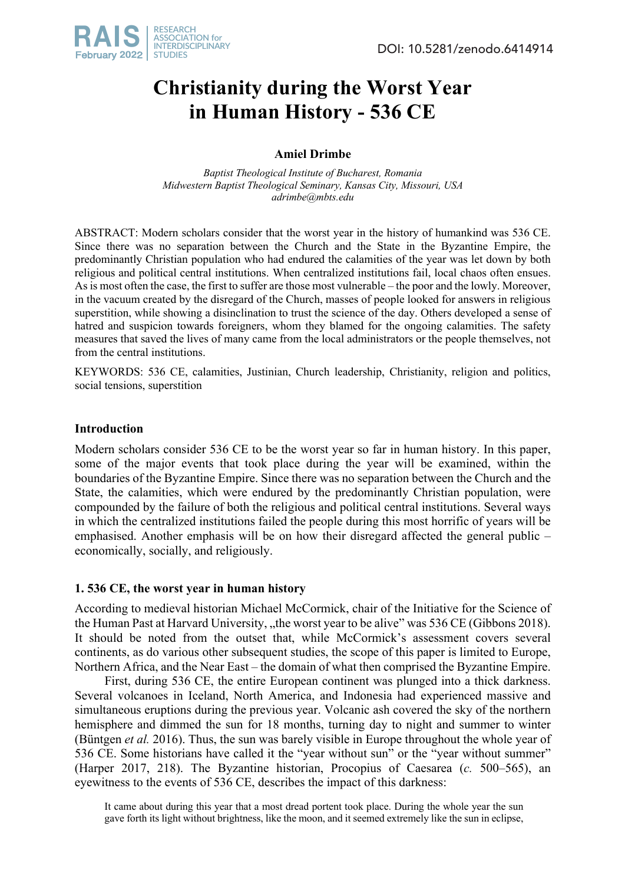

# **Christianity during the Worst Year in Human History - 536 CE**

# **Amiel Drimbe**

*Baptist Theological Institute of Bucharest, Romania Midwestern Baptist Theological Seminary, Kansas City, Missouri, USA adrimbe@mbts.edu*

ABSTRACT: Modern scholars consider that the worst year in the history of humankind was 536 CE. Since there was no separation between the Church and the State in the Byzantine Empire, the predominantly Christian population who had endured the calamities of the year was let down by both religious and political central institutions. When centralized institutions fail, local chaos often ensues. As is most often the case, the first to suffer are those most vulnerable – the poor and the lowly. Moreover, in the vacuum created by the disregard of the Church, masses of people looked for answers in religious superstition, while showing a disinclination to trust the science of the day. Others developed a sense of hatred and suspicion towards foreigners, whom they blamed for the ongoing calamities. The safety measures that saved the lives of many came from the local administrators or the people themselves, not from the central institutions.

KEYWORDS: 536 CE, calamities, Justinian, Church leadership, Christianity, religion and politics, social tensions, superstition

## **Introduction**

Modern scholars consider 536 CE to be the worst year so far in human history. In this paper, some of the major events that took place during the year will be examined, within the boundaries of the Byzantine Empire. Since there was no separation between the Church and the State, the calamities, which were endured by the predominantly Christian population, were compounded by the failure of both the religious and political central institutions. Several ways in which the centralized institutions failed the people during this most horrific of years will be emphasised. Another emphasis will be on how their disregard affected the general public – economically, socially, and religiously.

## **1. 536 CE, the worst year in human history**

According to medieval historian Michael McCormick, chair of the Initiative for the Science of the Human Past at Harvard University, "the worst year to be alive" was 536 CE (Gibbons 2018). It should be noted from the outset that, while McCormick's assessment covers several continents, as do various other subsequent studies, the scope of this paper is limited to Europe, Northern Africa, and the Near East – the domain of what then comprised the Byzantine Empire.

First, during 536 CE, the entire European continent was plunged into a thick darkness. Several volcanoes in Iceland, North America, and Indonesia had experienced massive and simultaneous eruptions during the previous year. Volcanic ash covered the sky of the northern hemisphere and dimmed the sun for 18 months, turning day to night and summer to winter (Büntgen *et al.* 2016). Thus, the sun was barely visible in Europe throughout the whole year of 536 CE. Some historians have called it the "year without sun" or the "year without summer" (Harper 2017, 218). The Byzantine historian, Procopius of Caesarea (*c.* 500–565), an eyewitness to the events of 536 CE, describes the impact of this darkness:

It came about during this year that a most dread portent took place. During the whole year the sun gave forth its light without brightness, like the moon, and it seemed extremely like the sun in eclipse,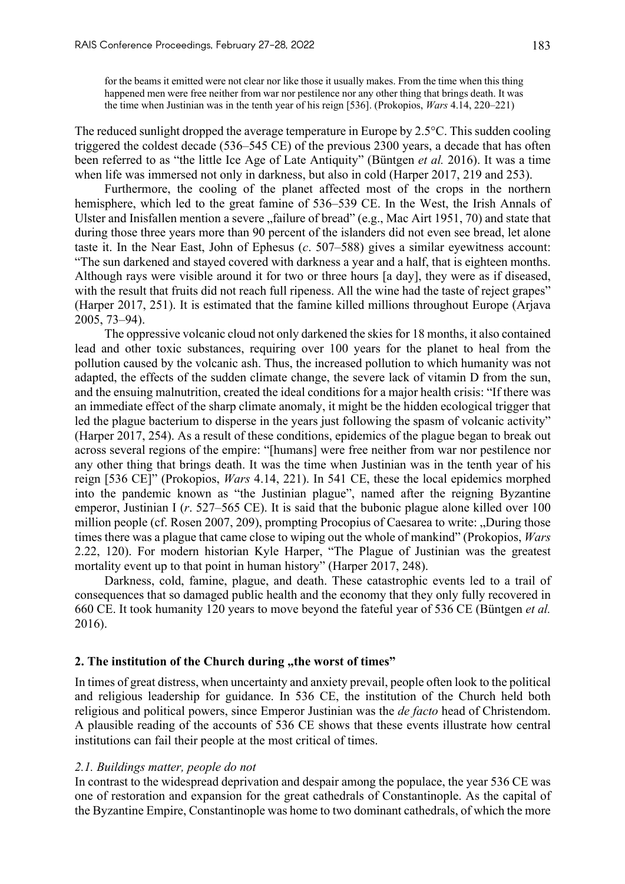for the beams it emitted were not clear nor like those it usually makes. From the time when this thing happened men were free neither from war nor pestilence nor any other thing that brings death. It was the time when Justinian was in the tenth year of his reign [536]. (Prokopios, *Wars* 4.14, 220–221)

The reduced sunlight dropped the average temperature in Europe by 2.5°C. This sudden cooling triggered the coldest decade (536–545 CE) of the previous 2300 years, a decade that has often been referred to as "the little Ice Age of Late Antiquity" (Büntgen *et al.* 2016). It was a time when life was immersed not only in darkness, but also in cold (Harper 2017, 219 and 253).

Furthermore, the cooling of the planet affected most of the crops in the northern hemisphere, which led to the great famine of 536–539 CE. In the West, the Irish Annals of Ulster and Inisfallen mention a severe "failure of bread" (e.g., Mac Airt 1951, 70) and state that during those three years more than 90 percent of the islanders did not even see bread, let alone taste it. In the Near East, John of Ephesus (*c*. 507–588) gives a similar eyewitness account: "The sun darkened and stayed covered with darkness a year and a half, that is eighteen months. Although rays were visible around it for two or three hours [a day], they were as if diseased, with the result that fruits did not reach full ripeness. All the wine had the taste of reject grapes" (Harper 2017, 251). It is estimated that the famine killed millions throughout Europe (Arjava 2005, 73–94).

The oppressive volcanic cloud not only darkened the skies for 18 months, it also contained lead and other toxic substances, requiring over 100 years for the planet to heal from the pollution caused by the volcanic ash. Thus, the increased pollution to which humanity was not adapted, the effects of the sudden climate change, the severe lack of vitamin D from the sun, and the ensuing malnutrition, created the ideal conditions for a major health crisis: "If there was an immediate effect of the sharp climate anomaly, it might be the hidden ecological trigger that led the plague bacterium to disperse in the years just following the spasm of volcanic activity" (Harper 2017, 254). As a result of these conditions, epidemics of the plague began to break out across several regions of the empire: "[humans] were free neither from war nor pestilence nor any other thing that brings death. It was the time when Justinian was in the tenth year of his reign [536 CE]" (Prokopios, *Wars* 4.14, 221). In 541 CE, these the local epidemics morphed into the pandemic known as "the Justinian plague", named after the reigning Byzantine emperor, Justinian I (*r*. 527–565 CE). It is said that the bubonic plague alone killed over 100 million people (cf. Rosen 2007, 209), prompting Procopius of Caesarea to write: "During those times there was a plague that came close to wiping out the whole of mankind" (Prokopios, *Wars*  2.22, 120). For modern historian Kyle Harper, "The Plague of Justinian was the greatest mortality event up to that point in human history" (Harper 2017, 248).

Darkness, cold, famine, plague, and death. These catastrophic events led to a trail of consequences that so damaged public health and the economy that they only fully recovered in 660 CE. It took humanity 120 years to move beyond the fateful year of 536 CE (Büntgen *et al.* 2016).

## **2. The institution of the Church during ..the worst of times"**

In times of great distress, when uncertainty and anxiety prevail, people often look to the political and religious leadership for guidance. In 536 CE, the institution of the Church held both religious and political powers, since Emperor Justinian was the *de facto* head of Christendom. A plausible reading of the accounts of 536 CE shows that these events illustrate how central institutions can fail their people at the most critical of times.

## *2.1. Buildings matter, people do not*

In contrast to the widespread deprivation and despair among the populace, the year 536 CE was one of restoration and expansion for the great cathedrals of Constantinople. As the capital of the Byzantine Empire, Constantinople was home to two dominant cathedrals, of which the more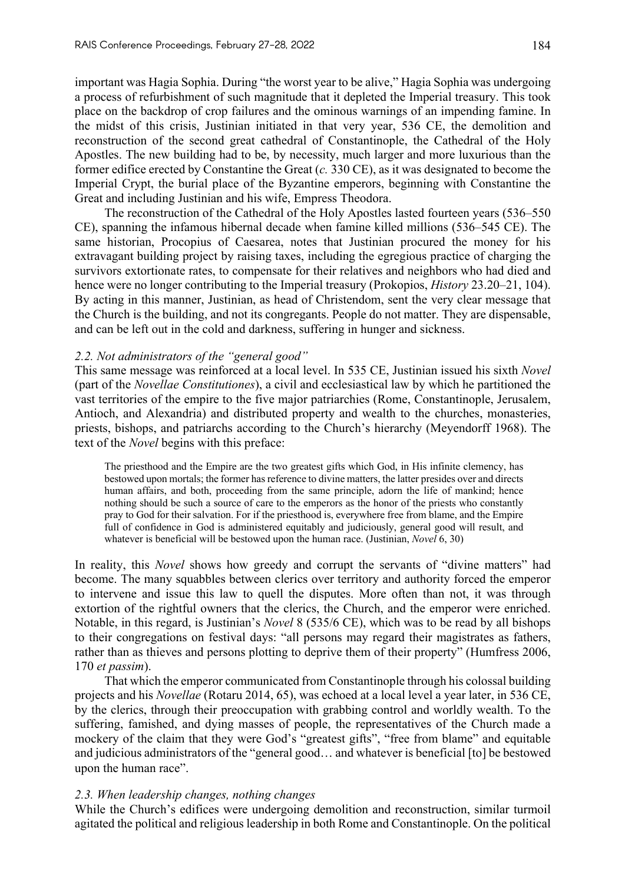important was Hagia Sophia. During "the worst year to be alive," Hagia Sophia was undergoing a process of refurbishment of such magnitude that it depleted the Imperial treasury. This took place on the backdrop of crop failures and the ominous warnings of an impending famine. In the midst of this crisis, Justinian initiated in that very year, 536 CE, the demolition and reconstruction of the second great cathedral of Constantinople, the Cathedral of the Holy Apostles. The new building had to be, by necessity, much larger and more luxurious than the former edifice erected by Constantine the Great (*c.* 330 CE), as it was designated to become the Imperial Crypt, the burial place of the Byzantine emperors, beginning with Constantine the Great and including Justinian and his wife, Empress Theodora.

The reconstruction of the Cathedral of the Holy Apostles lasted fourteen years (536–550 CE), spanning the infamous hibernal decade when famine killed millions (536–545 CE). The same historian, Procopius of Caesarea, notes that Justinian procured the money for his extravagant building project by raising taxes, including the egregious practice of charging the survivors extortionate rates, to compensate for their relatives and neighbors who had died and hence were no longer contributing to the Imperial treasury (Prokopios, *History* 23.20–21, 104). By acting in this manner, Justinian, as head of Christendom, sent the very clear message that the Church is the building, and not its congregants. People do not matter. They are dispensable, and can be left out in the cold and darkness, suffering in hunger and sickness.

#### *2.2. Not administrators of the "general good"*

This same message was reinforced at a local level. In 535 CE, Justinian issued his sixth *Novel* (part of the *Novellae Constitutiones*), a civil and ecclesiastical law by which he partitioned the vast territories of the empire to the five major patriarchies (Rome, Constantinople, Jerusalem, Antioch, and Alexandria) and distributed property and wealth to the churches, monasteries, priests, bishops, and patriarchs according to the Church's hierarchy (Meyendorff 1968). The text of the *Novel* begins with this preface:

The priesthood and the Empire are the two greatest gifts which God, in His infinite clemency, has bestowed upon mortals; the former has reference to divine matters, the latter presides over and directs human affairs, and both, proceeding from the same principle, adorn the life of mankind; hence nothing should be such a source of care to the emperors as the honor of the priests who constantly pray to God for their salvation. For if the priesthood is, everywhere free from blame, and the Empire full of confidence in God is administered equitably and judiciously, general good will result, and whatever is beneficial will be bestowed upon the human race. (Justinian, *Novel* 6, 30)

In reality, this *Novel* shows how greedy and corrupt the servants of "divine matters" had become. The many squabbles between clerics over territory and authority forced the emperor to intervene and issue this law to quell the disputes. More often than not, it was through extortion of the rightful owners that the clerics, the Church, and the emperor were enriched. Notable, in this regard, is Justinian's *Novel* 8 (535/6 CE), which was to be read by all bishops to their congregations on festival days: "all persons may regard their magistrates as fathers, rather than as thieves and persons plotting to deprive them of their property" (Humfress 2006, 170 *et passim*).

That which the emperor communicated from Constantinople through his colossal building projects and his *Novellae* (Rotaru 2014, 65), was echoed at a local level a year later, in 536 CE, by the clerics, through their preoccupation with grabbing control and worldly wealth. To the suffering, famished, and dying masses of people, the representatives of the Church made a mockery of the claim that they were God's "greatest gifts", "free from blame" and equitable and judicious administrators of the "general good… and whatever is beneficial [to] be bestowed upon the human race".

## *2.3. When leadership changes, nothing changes*

While the Church's edifices were undergoing demolition and reconstruction, similar turmoil agitated the political and religious leadership in both Rome and Constantinople. On the political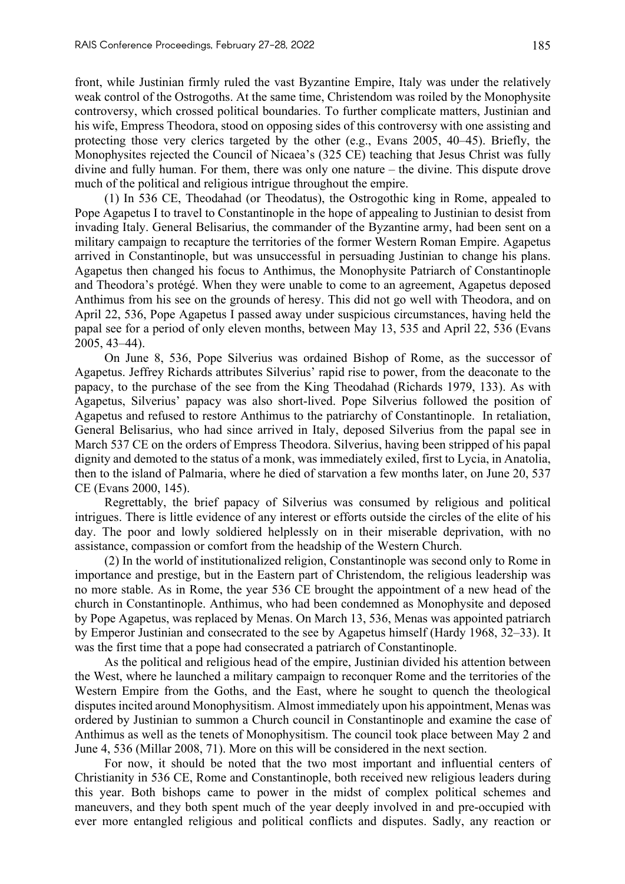front, while Justinian firmly ruled the vast Byzantine Empire, Italy was under the relatively weak control of the Ostrogoths. At the same time, Christendom was roiled by the Monophysite controversy, which crossed political boundaries. To further complicate matters, Justinian and his wife, Empress Theodora, stood on opposing sides of this controversy with one assisting and protecting those very clerics targeted by the other (e.g., Evans 2005, 40–45). Briefly, the Monophysites rejected the Council of Nicaea's (325 CE) teaching that Jesus Christ was fully divine and fully human. For them, there was only one nature – the divine. This dispute drove much of the political and religious intrigue throughout the empire.

(1) In 536 CE, Theodahad (or Theodatus), the Ostrogothic king in Rome, appealed to Pope Agapetus I to travel to Constantinople in the hope of appealing to Justinian to desist from invading Italy. General Belisarius, the commander of the Byzantine army, had been sent on a military campaign to recapture the territories of the former Western Roman Empire. Agapetus arrived in Constantinople, but was unsuccessful in persuading Justinian to change his plans. Agapetus then changed his focus to Anthimus, the Monophysite Patriarch of Constantinople and Theodora's protégé. When they were unable to come to an agreement, Agapetus deposed Anthimus from his see on the grounds of heresy. This did not go well with Theodora, and on April 22, 536, Pope Agapetus I passed away under suspicious circumstances, having held the papal see for a period of only eleven months, between May 13, 535 and April 22, 536 (Evans 2005, 43–44).

On June 8, 536, Pope Silverius was ordained Bishop of Rome, as the successor of Agapetus. Jeffrey Richards attributes Silverius' rapid rise to power, from the deaconate to the papacy, to the purchase of the see from the King Theodahad (Richards 1979, 133). As with Agapetus, Silverius' papacy was also short-lived. Pope Silverius followed the position of Agapetus and refused to restore Anthimus to the patriarchy of Constantinople. In retaliation, General Belisarius, who had since arrived in Italy, deposed Silverius from the papal see in March 537 CE on the orders of Empress Theodora. Silverius, having been stripped of his papal dignity and demoted to the status of a monk, was immediately exiled, first to Lycia, in Anatolia, then to the island of Palmaria, where he died of starvation a few months later, on June 20, 537 CE (Evans 2000, 145).

Regrettably, the brief papacy of Silverius was consumed by religious and political intrigues. There is little evidence of any interest or efforts outside the circles of the elite of his day. The poor and lowly soldiered helplessly on in their miserable deprivation, with no assistance, compassion or comfort from the headship of the Western Church.

(2) In the world of institutionalized religion, Constantinople was second only to Rome in importance and prestige, but in the Eastern part of Christendom, the religious leadership was no more stable. As in Rome, the year 536 CE brought the appointment of a new head of the church in Constantinople. Anthimus, who had been condemned as Monophysite and deposed by Pope Agapetus, was replaced by Menas. On March 13, 536, Menas was appointed patriarch by Emperor Justinian and consecrated to the see by Agapetus himself (Hardy 1968, 32–33). It was the first time that a pope had consecrated a patriarch of Constantinople.

As the political and religious head of the empire, Justinian divided his attention between the West, where he launched a military campaign to reconquer Rome and the territories of the Western Empire from the Goths, and the East, where he sought to quench the theological disputes incited around Monophysitism. Almost immediately upon his appointment, Menas was ordered by Justinian to summon a Church council in Constantinople and examine the case of Anthimus as well as the tenets of Monophysitism. The council took place between May 2 and June 4, 536 (Millar 2008, 71). More on this will be considered in the next section.

For now, it should be noted that the two most important and influential centers of Christianity in 536 CE, Rome and Constantinople, both received new religious leaders during this year. Both bishops came to power in the midst of complex political schemes and maneuvers, and they both spent much of the year deeply involved in and pre-occupied with ever more entangled religious and political conflicts and disputes. Sadly, any reaction or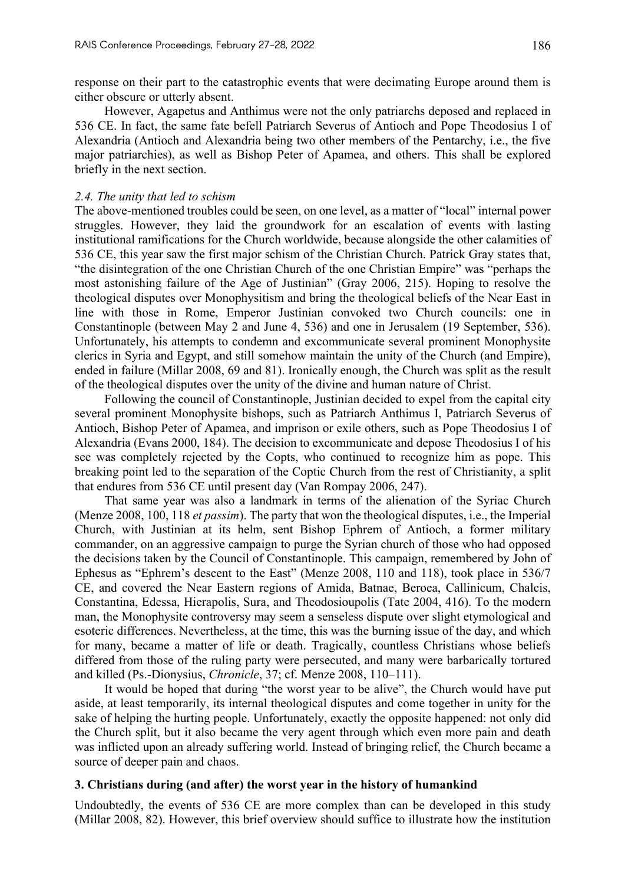response on their part to the catastrophic events that were decimating Europe around them is either obscure or utterly absent.

However, Agapetus and Anthimus were not the only patriarchs deposed and replaced in 536 CE. In fact, the same fate befell Patriarch Severus of Antioch and Pope Theodosius I of Alexandria (Antioch and Alexandria being two other members of the Pentarchy, i.e., the five major patriarchies), as well as Bishop Peter of Apamea, and others. This shall be explored briefly in the next section.

#### *2.4. The unity that led to schism*

The above-mentioned troubles could be seen, on one level, as a matter of "local" internal power struggles. However, they laid the groundwork for an escalation of events with lasting institutional ramifications for the Church worldwide, because alongside the other calamities of 536 CE, this year saw the first major schism of the Christian Church. Patrick Gray states that, "the disintegration of the one Christian Church of the one Christian Empire" was "perhaps the most astonishing failure of the Age of Justinian" (Gray 2006, 215). Hoping to resolve the theological disputes over Monophysitism and bring the theological beliefs of the Near East in line with those in Rome, Emperor Justinian convoked two Church councils: one in Constantinople (between May 2 and June 4, 536) and one in Jerusalem (19 September, 536). Unfortunately, his attempts to condemn and excommunicate several prominent Monophysite clerics in Syria and Egypt, and still somehow maintain the unity of the Church (and Empire), ended in failure (Millar 2008, 69 and 81). Ironically enough, the Church was split as the result of the theological disputes over the unity of the divine and human nature of Christ.

Following the council of Constantinople, Justinian decided to expel from the capital city several prominent Monophysite bishops, such as Patriarch Anthimus I, Patriarch Severus of Antioch, Bishop Peter of Apamea, and imprison or exile others, such as Pope Theodosius I of Alexandria (Evans 2000, 184). The decision to excommunicate and depose Theodosius I of his see was completely rejected by the Copts, who continued to recognize him as pope. This breaking point led to the separation of the Coptic Church from the rest of Christianity, a split that endures from 536 CE until present day (Van Rompay 2006, 247).

That same year was also a landmark in terms of the alienation of the Syriac Church (Menze 2008, 100, 118 *et passim*). The party that won the theological disputes, i.e., the Imperial Church, with Justinian at its helm, sent Bishop Ephrem of Antioch, a former military commander, on an aggressive campaign to purge the Syrian church of those who had opposed the decisions taken by the Council of Constantinople. This campaign, remembered by John of Ephesus as "Ephrem's descent to the East" (Menze 2008, 110 and 118), took place in 536/7 CE, and covered the Near Eastern regions of Amida, Batnae, Beroea, Callinicum, Chalcis, Constantina, Edessa, Hierapolis, Sura, and Theodosioupolis (Tate 2004, 416). To the modern man, the Monophysite controversy may seem a senseless dispute over slight etymological and esoteric differences. Nevertheless, at the time, this was the burning issue of the day, and which for many, became a matter of life or death. Tragically, countless Christians whose beliefs differed from those of the ruling party were persecuted, and many were barbarically tortured and killed (Ps.-Dionysius, *Chronicle*, 37; cf. Menze 2008, 110–111).

It would be hoped that during "the worst year to be alive", the Church would have put aside, at least temporarily, its internal theological disputes and come together in unity for the sake of helping the hurting people. Unfortunately, exactly the opposite happened: not only did the Church split, but it also became the very agent through which even more pain and death was inflicted upon an already suffering world. Instead of bringing relief, the Church became a source of deeper pain and chaos.

#### **3. Christians during (and after) the worst year in the history of humankind**

Undoubtedly, the events of 536 CE are more complex than can be developed in this study (Millar 2008, 82). However, this brief overview should suffice to illustrate how the institution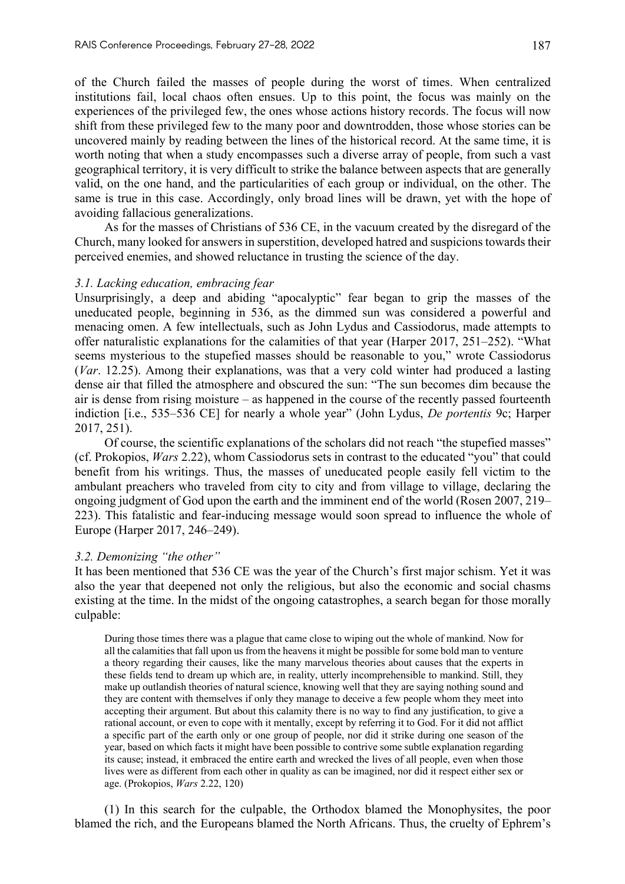of the Church failed the masses of people during the worst of times. When centralized institutions fail, local chaos often ensues. Up to this point, the focus was mainly on the experiences of the privileged few, the ones whose actions history records. The focus will now shift from these privileged few to the many poor and downtrodden, those whose stories can be uncovered mainly by reading between the lines of the historical record. At the same time, it is worth noting that when a study encompasses such a diverse array of people, from such a vast geographical territory, it is very difficult to strike the balance between aspects that are generally valid, on the one hand, and the particularities of each group or individual, on the other. The same is true in this case. Accordingly, only broad lines will be drawn, yet with the hope of avoiding fallacious generalizations.

As for the masses of Christians of 536 CE, in the vacuum created by the disregard of the Church, many looked for answers in superstition, developed hatred and suspicions towards their perceived enemies, and showed reluctance in trusting the science of the day.

#### *3.1. Lacking education, embracing fear*

Unsurprisingly, a deep and abiding "apocalyptic" fear began to grip the masses of the uneducated people, beginning in 536, as the dimmed sun was considered a powerful and menacing omen. A few intellectuals, such as John Lydus and Cassiodorus, made attempts to offer naturalistic explanations for the calamities of that year (Harper 2017, 251–252). "What seems mysterious to the stupefied masses should be reasonable to you," wrote Cassiodorus (*Var*. 12.25). Among their explanations, was that a very cold winter had produced a lasting dense air that filled the atmosphere and obscured the sun: "The sun becomes dim because the air is dense from rising moisture – as happened in the course of the recently passed fourteenth indiction [i.e., 535–536 CE] for nearly a whole year" (John Lydus, *De portentis* 9c; Harper 2017, 251).

Of course, the scientific explanations of the scholars did not reach "the stupefied masses" (cf. Prokopios, *Wars* 2.22), whom Cassiodorus sets in contrast to the educated "you" that could benefit from his writings. Thus, the masses of uneducated people easily fell victim to the ambulant preachers who traveled from city to city and from village to village, declaring the ongoing judgment of God upon the earth and the imminent end of the world (Rosen 2007, 219– 223). This fatalistic and fear-inducing message would soon spread to influence the whole of Europe (Harper 2017, 246–249).

## *3.2. Demonizing "the other"*

It has been mentioned that 536 CE was the year of the Church's first major schism. Yet it was also the year that deepened not only the religious, but also the economic and social chasms existing at the time. In the midst of the ongoing catastrophes, a search began for those morally culpable:

During those times there was a plague that came close to wiping out the whole of mankind. Now for all the calamities that fall upon us from the heavens it might be possible for some bold man to venture a theory regarding their causes, like the many marvelous theories about causes that the experts in these fields tend to dream up which are, in reality, utterly incomprehensible to mankind. Still, they make up outlandish theories of natural science, knowing well that they are saying nothing sound and they are content with themselves if only they manage to deceive a few people whom they meet into accepting their argument. But about this calamity there is no way to find any justification, to give a rational account, or even to cope with it mentally, except by referring it to God. For it did not afflict a specific part of the earth only or one group of people, nor did it strike during one season of the year, based on which facts it might have been possible to contrive some subtle explanation regarding its cause; instead, it embraced the entire earth and wrecked the lives of all people, even when those lives were as different from each other in quality as can be imagined, nor did it respect either sex or age. (Prokopios, *Wars* 2.22, 120)

(1) In this search for the culpable, the Orthodox blamed the Monophysites, the poor blamed the rich, and the Europeans blamed the North Africans. Thus, the cruelty of Ephrem's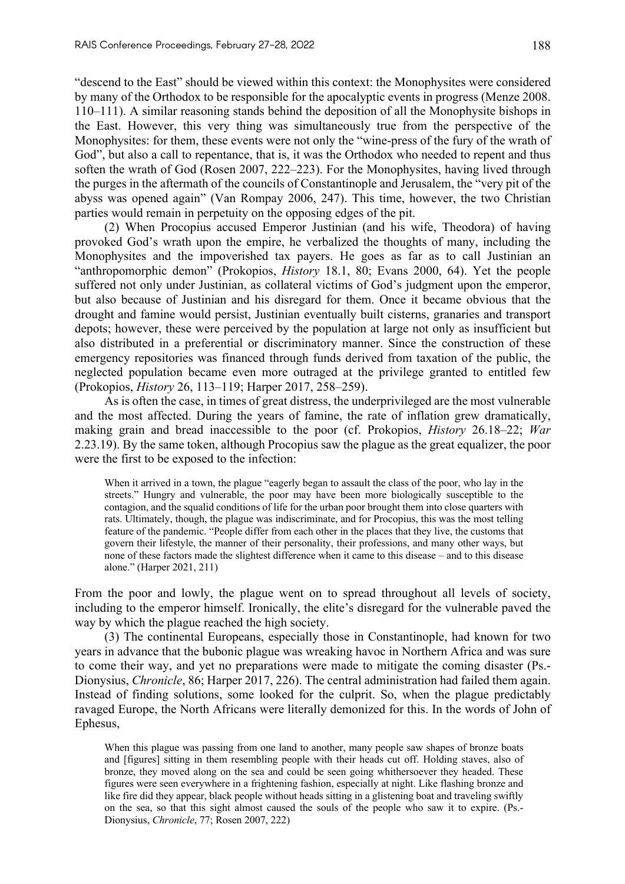"descend to the East" should be viewed within this context: the Monophysites were considered by many of the Orthodox to be responsible for the apocalyptic events in progress (Menze 2008. 110–111). A similar reasoning stands behind the deposition of all the Monophysite bishops in the East. However, this very thing was simultaneously true from the perspective of the Monophysites: for them, these events were not only the "wine-press of the fury of the wrath of God", but also a call to repentance, that is, it was the Orthodox who needed to repent and thus soften the wrath of God (Rosen 2007, 222–223). For the Monophysites, having lived through the purges in the aftermath of the councils of Constantinople and Jerusalem, the "very pit of the abyss was opened again" (Van Rompay 2006, 247). This time, however, the two Christian parties would remain in perpetuity on the opposing edges of the pit.

(2) When Procopius accused Emperor Justinian (and his wife, Theodora) of having provoked God's wrath upon the empire, he verbalized the thoughts of many, including the Monophysites and the impoverished tax payers. He goes as far as to call Justinian an "anthropomorphic demon" (Prokopios, *History* 18.1, 80; Evans 2000, 64). Yet the people suffered not only under Justinian, as collateral victims of God's judgment upon the emperor, but also because of Justinian and his disregard for them. Once it became obvious that the drought and famine would persist, Justinian eventually built cisterns, granaries and transport depots; however, these were perceived by the population at large not only as insufficient but also distributed in a preferential or discriminatory manner. Since the construction of these emergency repositories was financed through funds derived from taxation of the public, the neglected population became even more outraged at the privilege granted to entitled few (Prokopios, *History* 26, 113–119; Harper 2017, 258–259).

As is often the case, in times of great distress, the underprivileged are the most vulnerable and the most affected. During the years of famine, the rate of inflation grew dramatically, making grain and bread inaccessible to the poor (cf. Prokopios, *History* 26.18–22; *War* 2.23.19). By the same token, although Procopius saw the plague as the great equalizer, the poor were the first to be exposed to the infection:

When it arrived in a town, the plague "eagerly began to assault the class of the poor, who lay in the streets." Hungry and vulnerable, the poor may have been more biologically susceptible to the contagion, and the squalid conditions of life for the urban poor brought them into close quarters with rats. Ultimately, though, the plague was indiscriminate, and for Procopius, this was the most telling feature of the pandemic. "People differ from each other in the places that they live, the customs that govern their lifestyle, the manner of their personality, their professions, and many other ways, but none of these factors made the slightest difference when it came to this disease – and to this disease alone." (Harper 2021, 211)

From the poor and lowly, the plague went on to spread throughout all levels of society, including to the emperor himself. Ironically, the elite's disregard for the vulnerable paved the way by which the plague reached the high society.

(3) The continental Europeans, especially those in Constantinople, had known for two years in advance that the bubonic plague was wreaking havoc in Northern Africa and was sure to come their way, and yet no preparations were made to mitigate the coming disaster (Ps.- Dionysius, *Chronicle*, 86; Harper 2017, 226). The central administration had failed them again. Instead of finding solutions, some looked for the culprit. So, when the plague predictably ravaged Europe, the North Africans were literally demonized for this. In the words of John of Ephesus,

When this plague was passing from one land to another, many people saw shapes of bronze boats and [figures] sitting in them resembling people with their heads cut off. Holding staves, also of bronze, they moved along on the sea and could be seen going whithersoever they headed. These figures were seen everywhere in a frightening fashion, especially at night. Like flashing bronze and like fire did they appear, black people without heads sitting in a glistening boat and traveling swiftly on the sea, so that this sight almost caused the souls of the people who saw it to expire. (Ps.- Dionysius, *Chronicle*, 77; Rosen 2007, 222)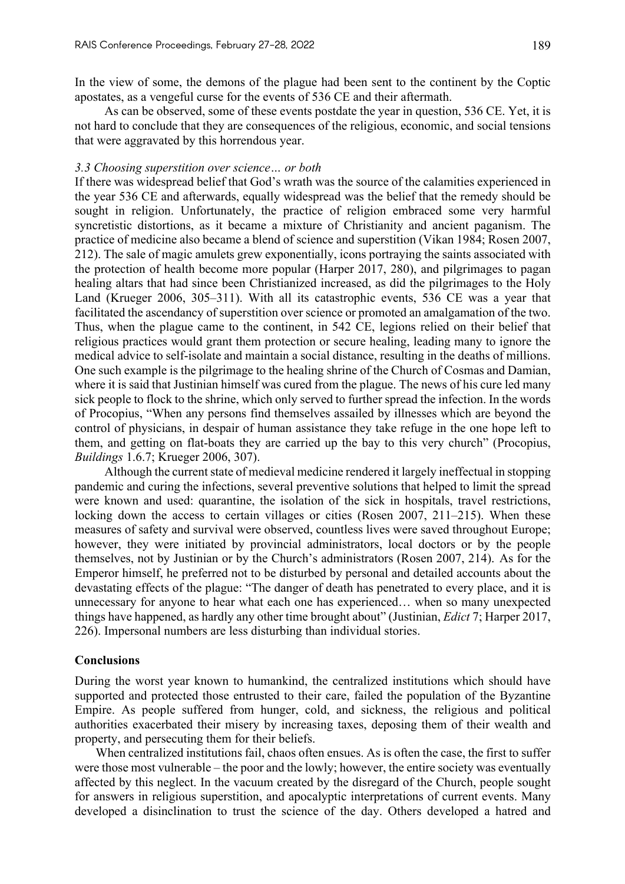In the view of some, the demons of the plague had been sent to the continent by the Coptic apostates, as a vengeful curse for the events of 536 CE and their aftermath.

As can be observed, some of these events postdate the year in question, 536 CE. Yet, it is not hard to conclude that they are consequences of the religious, economic, and social tensions that were aggravated by this horrendous year.

#### *3.3 Choosing superstition over science… or both*

If there was widespread belief that God's wrath was the source of the calamities experienced in the year 536 CE and afterwards, equally widespread was the belief that the remedy should be sought in religion. Unfortunately, the practice of religion embraced some very harmful syncretistic distortions, as it became a mixture of Christianity and ancient paganism. The practice of medicine also became a blend of science and superstition (Vikan 1984; Rosen 2007, 212). The sale of magic amulets grew exponentially, icons portraying the saints associated with the protection of health become more popular (Harper 2017, 280), and pilgrimages to pagan healing altars that had since been Christianized increased, as did the pilgrimages to the Holy Land (Krueger 2006, 305–311). With all its catastrophic events, 536 CE was a year that facilitated the ascendancy of superstition over science or promoted an amalgamation of the two. Thus, when the plague came to the continent, in 542 CE, legions relied on their belief that religious practices would grant them protection or secure healing, leading many to ignore the medical advice to self-isolate and maintain a social distance, resulting in the deaths of millions. One such example is the pilgrimage to the healing shrine of the Church of Cosmas and Damian, where it is said that Justinian himself was cured from the plague. The news of his cure led many sick people to flock to the shrine, which only served to further spread the infection. In the words of Procopius, "When any persons find themselves assailed by illnesses which are beyond the control of physicians, in despair of human assistance they take refuge in the one hope left to them, and getting on flat-boats they are carried up the bay to this very church" (Procopius, *Buildings* 1.6.7; Krueger 2006, 307).

Although the current state of medieval medicine rendered it largely ineffectual in stopping pandemic and curing the infections, several preventive solutions that helped to limit the spread were known and used: quarantine, the isolation of the sick in hospitals, travel restrictions, locking down the access to certain villages or cities (Rosen 2007, 211–215). When these measures of safety and survival were observed, countless lives were saved throughout Europe; however, they were initiated by provincial administrators, local doctors or by the people themselves, not by Justinian or by the Church's administrators (Rosen 2007, 214). As for the Emperor himself, he preferred not to be disturbed by personal and detailed accounts about the devastating effects of the plague: "The danger of death has penetrated to every place, and it is unnecessary for anyone to hear what each one has experienced… when so many unexpected things have happened, as hardly any other time brought about" (Justinian, *Edict* 7; Harper 2017, 226). Impersonal numbers are less disturbing than individual stories.

## **Conclusions**

During the worst year known to humankind, the centralized institutions which should have supported and protected those entrusted to their care, failed the population of the Byzantine Empire. As people suffered from hunger, cold, and sickness, the religious and political authorities exacerbated their misery by increasing taxes, deposing them of their wealth and property, and persecuting them for their beliefs.

When centralized institutions fail, chaos often ensues. As is often the case, the first to suffer were those most vulnerable – the poor and the lowly; however, the entire society was eventually affected by this neglect. In the vacuum created by the disregard of the Church, people sought for answers in religious superstition, and apocalyptic interpretations of current events. Many developed a disinclination to trust the science of the day. Others developed a hatred and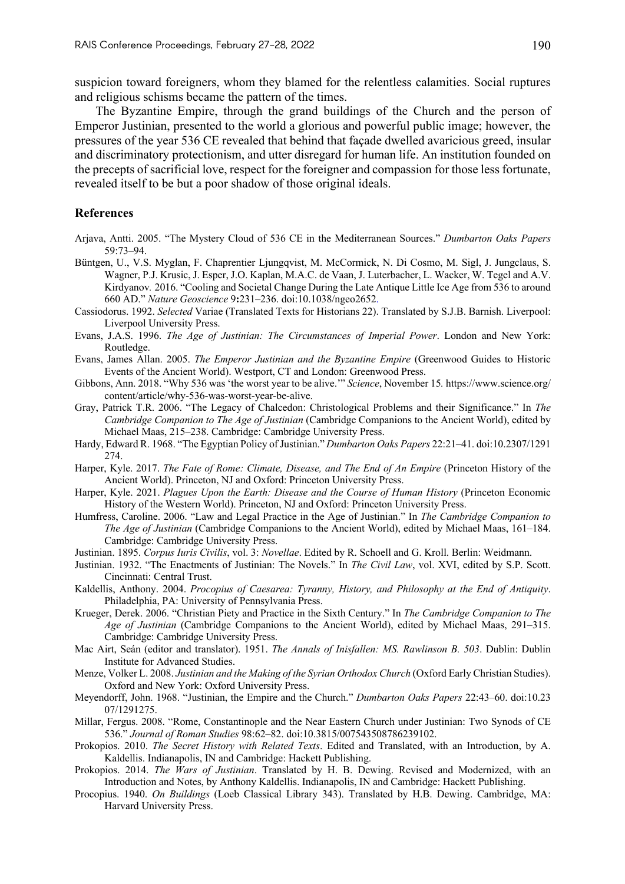suspicion toward foreigners, whom they blamed for the relentless calamities. Social ruptures and religious schisms became the pattern of the times.

The Byzantine Empire, through the grand buildings of the Church and the person of Emperor Justinian, presented to the world a glorious and powerful public image; however, the pressures of the year 536 CE revealed that behind that façade dwelled avaricious greed, insular and discriminatory protectionism, and utter disregard for human life. An institution founded on the precepts of sacrificial love, respect for the foreigner and compassion for those less fortunate, revealed itself to be but a poor shadow of those original ideals.

## **References**

- Arjava, Antti. 2005. "The Mystery Cloud of 536 CE in the Mediterranean Sources." *Dumbarton Oaks Papers* 59:73–94.
- Büntgen, U., V.S. Myglan, F. Chaprentier Ljungqvist, M. McCormick, N. Di Cosmo, M. Sigl, J. Jungclaus, S. Wagner, P.J. Krusic, J. Esper, J.O. Kaplan, M.A.C. de Vaan, J. Luterbacher, L. Wacker, W. Tegel and A.V. Kirdyanov*.* 2016. "Cooling and Societal Change During the Late Antique Little Ice Age from 536 to around 660 AD." *Nature Geoscience* 9**:**231–236. doi:10.1038/ngeo2652.
- Cassiodorus. 1992. *Selected* Variae (Translated Texts for Historians 22). Translated by S.J.B. Barnish. Liverpool: Liverpool University Press.
- Evans, J.A.S. 1996. *The Age of Justinian: The Circumstances of Imperial Power*. London and New York: Routledge.
- Evans, James Allan. 2005. *The Emperor Justinian and the Byzantine Empire* (Greenwood Guides to Historic Events of the Ancient World). Westport, CT and London: Greenwood Press.
- Gibbons, Ann. 2018. "Why 536 was 'the worst year to be alive.'" *Science*, November 15*.* https://www.science.org/ content/article/why-536-was-worst-year-be-alive.
- Gray, Patrick T.R. 2006. "The Legacy of Chalcedon: Christological Problems and their Significance." In *The Cambridge Companion to The Age of Justinian* (Cambridge Companions to the Ancient World), edited by Michael Maas, 215–238. Cambridge: Cambridge University Press.
- Hardy, Edward R. 1968. "The Egyptian Policy of Justinian." *Dumbarton Oaks Papers* 22:21–41. doi:10.2307/1291 274.
- Harper, Kyle. 2017. *The Fate of Rome: Climate, Disease, and The End of An Empire* (Princeton History of the Ancient World). Princeton, NJ and Oxford: Princeton University Press.
- Harper, Kyle. 2021. *Plagues Upon the Earth: Disease and the Course of Human History* (Princeton Economic History of the Western World). Princeton, NJ and Oxford: Princeton University Press.
- Humfress, Caroline. 2006. "Law and Legal Practice in the Age of Justinian." In *The Cambridge Companion to The Age of Justinian* (Cambridge Companions to the Ancient World), edited by Michael Maas, 161–184. Cambridge: Cambridge University Press.
- Justinian. 1895. *Corpus Iuris Civilis*, vol. 3: *Novellae*. Edited by R. Schoell and G. Kroll. Berlin: Weidmann.
- Justinian. 1932. "The Enactments of Justinian: The Novels." In *The Civil Law*, vol. XVI, edited by S.P. Scott. Cincinnati: Central Trust.
- Kaldellis, Anthony. 2004. *Procopius of Caesarea: Tyranny, History, and Philosophy at the End of Antiquity*. Philadelphia, PA: University of Pennsylvania Press.
- Krueger, Derek. 2006. "Christian Piety and Practice in the Sixth Century." In *The Cambridge Companion to The Age of Justinian* (Cambridge Companions to the Ancient World), edited by Michael Maas, 291–315. Cambridge: Cambridge University Press.
- Mac Airt, Seán (editor and translator). 1951. *The Annals of Inisfallen: MS. Rawlinson B. 503*. Dublin: Dublin Institute for Advanced Studies.
- Menze, Volker L. 2008. *Justinian and the Making of the Syrian Orthodox Church* (Oxford Early Christian Studies). Oxford and New York: Oxford University Press.
- Meyendorff, John. 1968. "Justinian, the Empire and the Church." *Dumbarton Oaks Papers* 22:43–60. doi:10.23 07/1291275.
- Millar, Fergus. 2008. "Rome, Constantinople and the Near Eastern Church under Justinian: Two Synods of CE 536." *Journal of Roman Studies* 98:62–82. doi:10.3815/007543508786239102.
- Prokopios. 2010. *The Secret History with Related Texts*. Edited and Translated, with an Introduction, by A. Kaldellis. Indianapolis, IN and Cambridge: Hackett Publishing.
- Prokopios. 2014. *The Wars of Justinian*. Translated by H. B. Dewing. Revised and Modernized, with an Introduction and Notes, by Anthony Kaldellis. Indianapolis, IN and Cambridge: Hackett Publishing.
- Procopius. 1940. *On Buildings* (Loeb Classical Library 343). Translated by H.B. Dewing. Cambridge, MA: Harvard University Press.